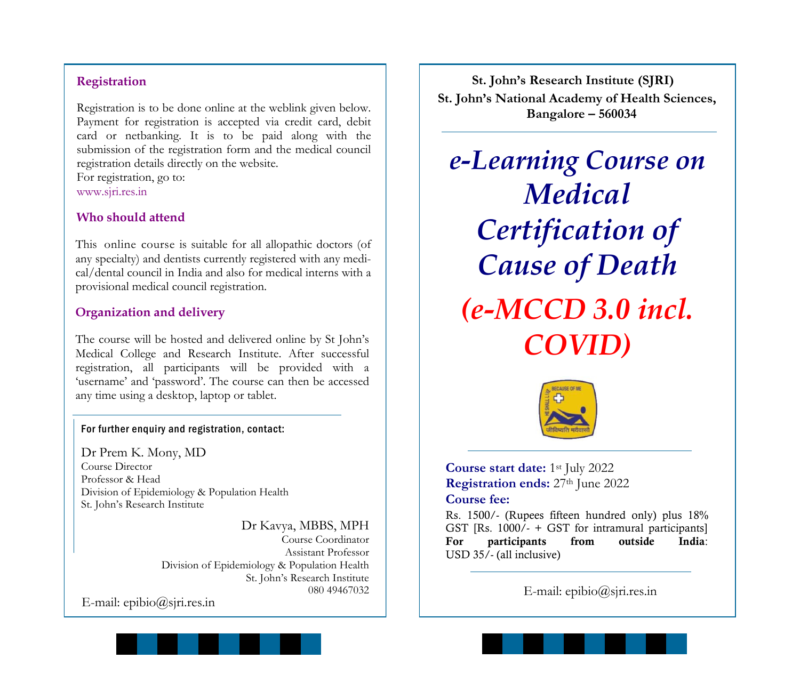## **Registration**

Registration is to be done online at the weblink given below. Payment for registration is accepted via credit card, debit card or netbanking. It is to be paid along with the submission of the registration form and the medical council registration details directly on the website.

For registration, go to: www.sjri.res.in

### **Who should attend**

This online course is suitable for all allopathic doctors (of any specialty) and dentists currently registered with any medical/dental council in India and also for medical interns with a provisional medical council registration.

### **Organization and delivery**

The course will be hosted and delivered online by St John's Medical College and Research Institute. After successful registration, all participants will be provided with a 'username' and 'password'. The course can then be accessed any time using a desktop, laptop or tablet.

### For further enquiry and registration, contact:

Dr Prem K. Mony, MD Course Director Professor & Head Division of Epidemiology & Population Health St. John's Research Institute

> Dr Kavya, MBBS, MPH Course Coordinator Assistant Professor Division of Epidemiology & Population Health St. John's Research Institute 080 49467032

E-mail: epibio@sjri.res.in



*e-Learning Course on Medical Certification of Cause of Death (e-MCCD 3.0 incl. COVID)*



**Course start date:** 1st July 2022 **Registration ends:** 27th June 2022 **Course fee:**

Rs. 1500/- (Rupees fifteen hundred only) plus 18% GST [Rs. 1000/- + GST for intramural participants] For participants from outside India: USD 35/- (all inclusive)

E-mail: epibio@sjri.res.in